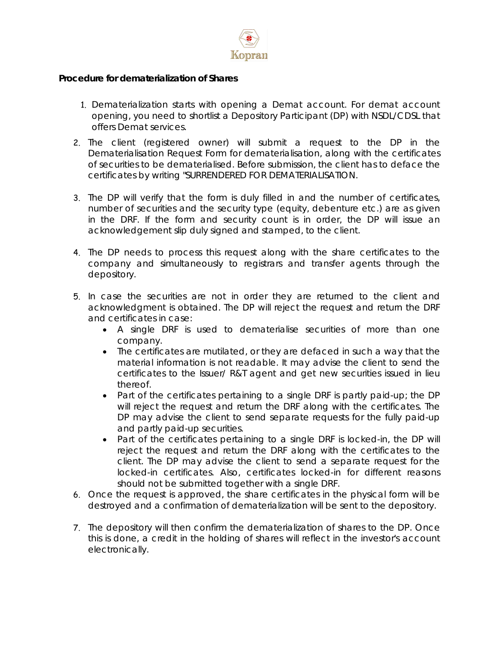

## **Procedure for** *dematerialization of Shares*

- 1. Dematerialization starts with opening a Demat account. For demat account opening, you need to shortlist a Depository Participant (DP) with NSDL/CDSL that offers Demat services.
- 2. The client (registered owner) will submit a request to the DP in the Dematerialisation Request Form for dematerialisation, along with the certificates of securities to be dematerialised. Before submission, the client has to deface the certificates by writing "SURRENDERED FOR DEMATERIALISATION.
- 3. The DP will verify that the form is duly filled in and the number of certificates, number of securities and the security type (equity, debenture etc.) are as given in the DRF. If the form and security count is in order, the DP will issue an acknowledgement slip duly signed and stamped, to the client.
- 4. The DP needs to process this request along with the share certificates to the company and simultaneously to registrars and transfer agents through the depository.
- 5. In case the securities are not in order they are returned to the client and acknowledgment is obtained. The DP will reject the request and return the DRF and certificates in case:
	- A single DRF is used to dematerialise securities of more than one company.
	- The certificates are mutilated, or they are defaced in such a way that the material information is not readable. It may advise the client to send the certificates to the Issuer/ R&T agent and get new securities issued in lieu thereof.
	- Part of the certificates pertaining to a single DRF is partly paid-up; the DP will reject the request and return the DRF along with the certificates. The DP may advise the client to send separate requests for the fully paid-up and partly paid-up securities.
	- Part of the certificates pertaining to a single DRF is locked-in, the DP will reject the request and return the DRF along with the certificates to the client. The DP may advise the client to send a separate request for the locked-in certificates. Also, certificates locked-in for different reasons should not be submitted together with a single DRF.
- 6. Once the request is approved, the share certificates in the physical form will be destroyed and a confirmation of dematerialization will be sent to the depository.
- 7. The depository will then confirm the dematerialization of shares to the DP. Once this is done, a credit in the holding of shares will reflect in the investor's account electronically.